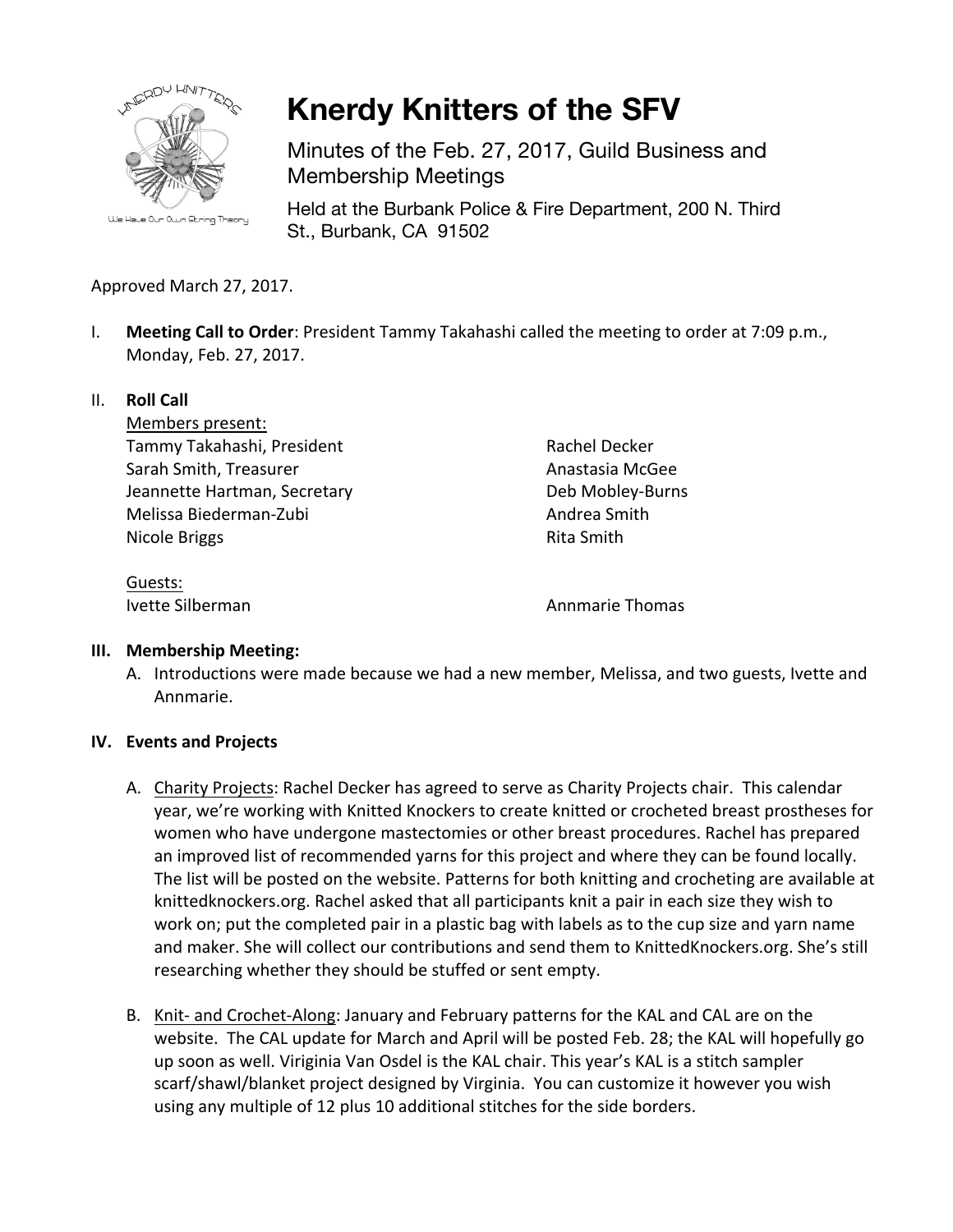

**Knerdy Knitters of the SFV**

Minutes of the Feb. 27, 2017, Guild Business and Membership Meetings

Held at the Burbank Police & Fire Department, 200 N. Third St., Burbank, CA 91502

# Approved March 27, 2017.

I. **Meeting Call to Order**: President Tammy Takahashi called the meeting to order at 7:09 p.m., Monday, Feb. 27, 2017.

## II. **Roll Call**

Members present: Tammy Takahashi, President Sarah Smith, Treasurer Jeannette Hartman, Secretary Melissa Biederman-Zubi Nicole Briggs

Rachel Decker Anastasia McGee Deb Mobley-Burns Andrea Smith Rita Smith

Guests:

**Ivette Silberman Annual Annual Annual Annual Annual Annual Annual Annual Annual Annual Annual Annual Annual Annual Annual Annual Annual Annual Annual Annual Annual Annual Annual Annual Annual Annual Annual Annual Annual** 

## **III. Membership Meeting:**

A. Introductions were made because we had a new member, Melissa, and two guests, Ivette and Annmarie.

## **IV.** Events and Projects

- A. Charity Projects: Rachel Decker has agreed to serve as Charity Projects chair. This calendar year, we're working with Knitted Knockers to create knitted or crocheted breast prostheses for women who have undergone mastectomies or other breast procedures. Rachel has prepared an improved list of recommended yarns for this project and where they can be found locally. The list will be posted on the website. Patterns for both knitting and crocheting are available at knittedknockers.org. Rachel asked that all participants knit a pair in each size they wish to work on; put the completed pair in a plastic bag with labels as to the cup size and yarn name and maker. She will collect our contributions and send them to KnittedKnockers.org. She's still researching whether they should be stuffed or sent empty.
- B. Knit- and Crochet-Along: January and February patterns for the KAL and CAL are on the website. The CAL update for March and April will be posted Feb. 28; the KAL will hopefully go up soon as well. Viriginia Van Osdel is the KAL chair. This year's KAL is a stitch sampler scarf/shawl/blanket project designed by Virginia. You can customize it however you wish using any multiple of 12 plus 10 additional stitches for the side borders.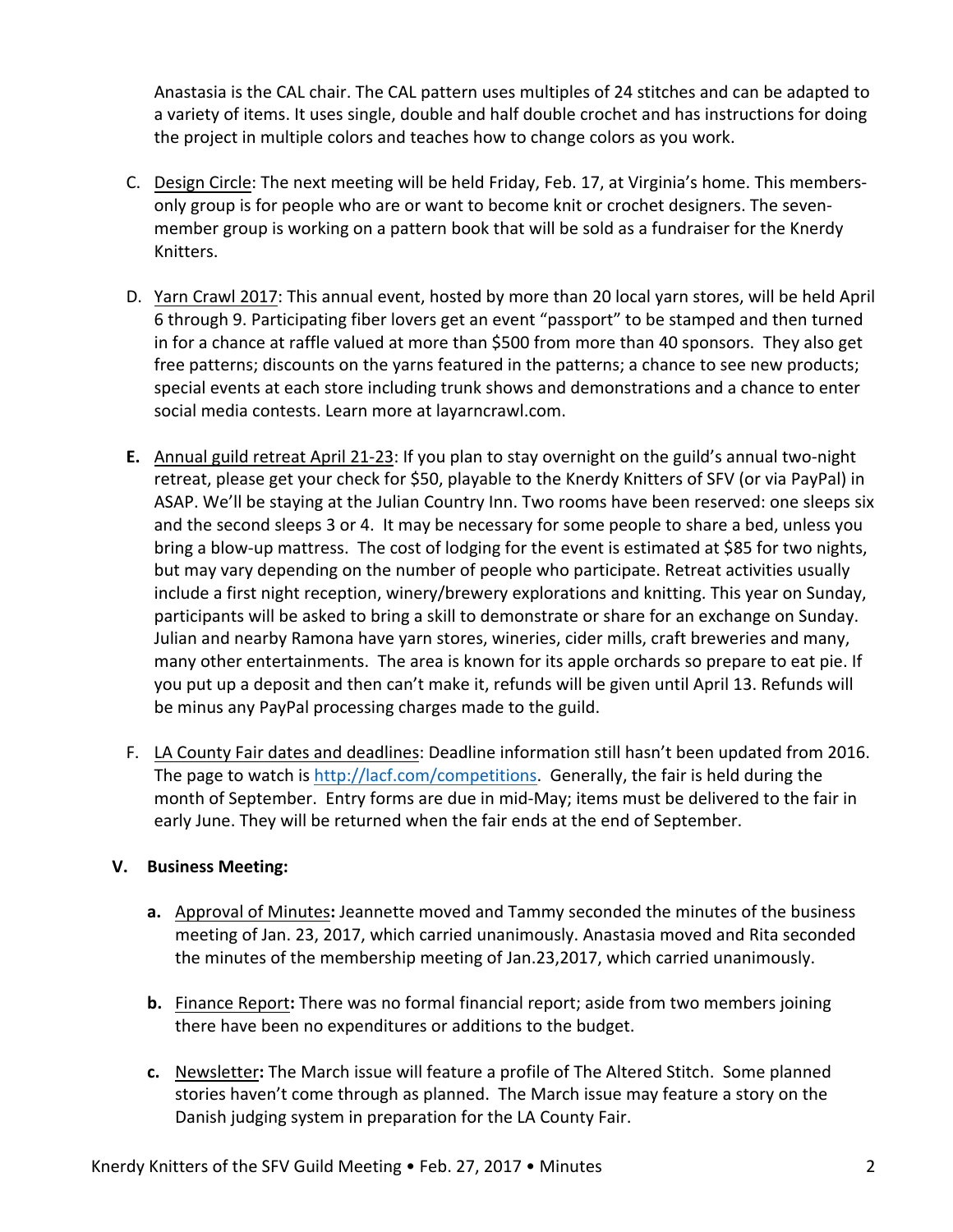Anastasia is the CAL chair. The CAL pattern uses multiples of 24 stitches and can be adapted to a variety of items. It uses single, double and half double crochet and has instructions for doing the project in multiple colors and teaches how to change colors as you work.

- C. Design Circle: The next meeting will be held Friday, Feb. 17, at Virginia's home. This membersonly group is for people who are or want to become knit or crochet designers. The sevenmember group is working on a pattern book that will be sold as a fundraiser for the Knerdy Knitters.
- D. Yarn Crawl 2017: This annual event, hosted by more than 20 local yarn stores, will be held April 6 through 9. Participating fiber lovers get an event "passport" to be stamped and then turned in for a chance at raffle valued at more than \$500 from more than 40 sponsors. They also get free patterns; discounts on the yarns featured in the patterns; a chance to see new products; special events at each store including trunk shows and demonstrations and a chance to enter social media contests. Learn more at layarncrawl.com.
- **E.** Annual guild retreat April 21-23: If you plan to stay overnight on the guild's annual two-night retreat, please get your check for \$50, playable to the Knerdy Knitters of SFV (or via PayPal) in ASAP. We'll be staying at the Julian Country Inn. Two rooms have been reserved: one sleeps six and the second sleeps 3 or 4. It may be necessary for some people to share a bed, unless you bring a blow-up mattress. The cost of lodging for the event is estimated at \$85 for two nights, but may vary depending on the number of people who participate. Retreat activities usually include a first night reception, winery/brewery explorations and knitting. This year on Sunday, participants will be asked to bring a skill to demonstrate or share for an exchange on Sunday. Julian and nearby Ramona have yarn stores, wineries, cider mills, craft breweries and many, many other entertainments. The area is known for its apple orchards so prepare to eat pie. If you put up a deposit and then can't make it, refunds will be given until April 13. Refunds will be minus any PayPal processing charges made to the guild.
- F. LA County Fair dates and deadlines: Deadline information still hasn't been updated from 2016. The page to watch is  $http://lacf.com/competitions.$  Generally, the fair is held during the month of September. Entry forms are due in mid-May; items must be delivered to the fair in early June. They will be returned when the fair ends at the end of September.

## **V. Business Meeting:**

- **a.** Approval of Minutes: Jeannette moved and Tammy seconded the minutes of the business meeting of Jan. 23, 2017, which carried unanimously. Anastasia moved and Rita seconded the minutes of the membership meeting of Jan.23,2017, which carried unanimously.
- **b.** Finance Report: There was no formal financial report; aside from two members joining there have been no expenditures or additions to the budget.
- **c.** Newsletter: The March issue will feature a profile of The Altered Stitch. Some planned stories haven't come through as planned. The March issue may feature a story on the Danish judging system in preparation for the LA County Fair.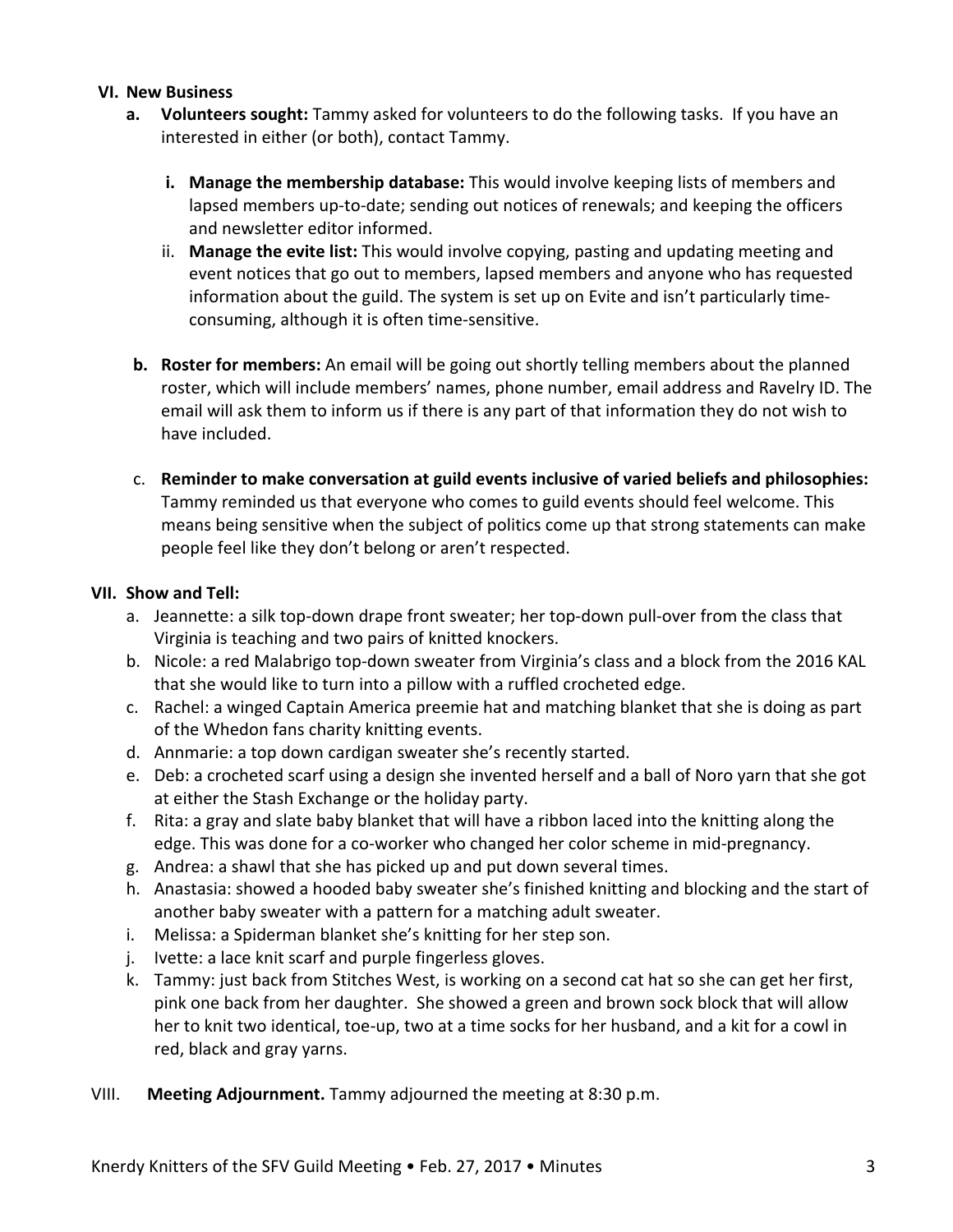#### **VI. New Business**

- **a. Volunteers sought:** Tammy asked for volunteers to do the following tasks. If you have an interested in either (or both), contact Tammy.
	- **i.** Manage the membership database: This would involve keeping lists of members and lapsed members up-to-date; sending out notices of renewals; and keeping the officers and newsletter editor informed.
	- ii. Manage the evite list: This would involve copying, pasting and updating meeting and event notices that go out to members, lapsed members and anyone who has requested information about the guild. The system is set up on Evite and isn't particularly timeconsuming, although it is often time-sensitive.
- **b. Roster for members:** An email will be going out shortly telling members about the planned roster, which will include members' names, phone number, email address and Ravelry ID. The email will ask them to inform us if there is any part of that information they do not wish to have included.
- c. Reminder to make conversation at guild events inclusive of varied beliefs and philosophies: Tammy reminded us that everyone who comes to guild events should feel welcome. This means being sensitive when the subject of politics come up that strong statements can make people feel like they don't belong or aren't respected.

#### **VII. Show and Tell:**

- a. Jeannette: a silk top-down drape front sweater; her top-down pull-over from the class that Virginia is teaching and two pairs of knitted knockers.
- b. Nicole: a red Malabrigo top-down sweater from Virginia's class and a block from the 2016 KAL that she would like to turn into a pillow with a ruffled crocheted edge.
- c. Rachel: a winged Captain America preemie hat and matching blanket that she is doing as part of the Whedon fans charity knitting events.
- d. Annmarie: a top down cardigan sweater she's recently started.
- e. Deb: a crocheted scarf using a design she invented herself and a ball of Noro yarn that she got at either the Stash Exchange or the holiday party.
- f. Rita: a gray and slate baby blanket that will have a ribbon laced into the knitting along the edge. This was done for a co-worker who changed her color scheme in mid-pregnancy.
- g. Andrea: a shawl that she has picked up and put down several times.
- h. Anastasia: showed a hooded baby sweater she's finished knitting and blocking and the start of another baby sweater with a pattern for a matching adult sweater.
- i. Melissa: a Spiderman blanket she's knitting for her step son.
- j. Ivette: a lace knit scarf and purple fingerless gloves.
- k. Tammy: just back from Stitches West, is working on a second cat hat so she can get her first, pink one back from her daughter. She showed a green and brown sock block that will allow her to knit two identical, toe-up, two at a time socks for her husband, and a kit for a cowl in red, black and gray yarns.
- VIII. **Meeting Adjournment.** Tammy adjourned the meeting at 8:30 p.m.